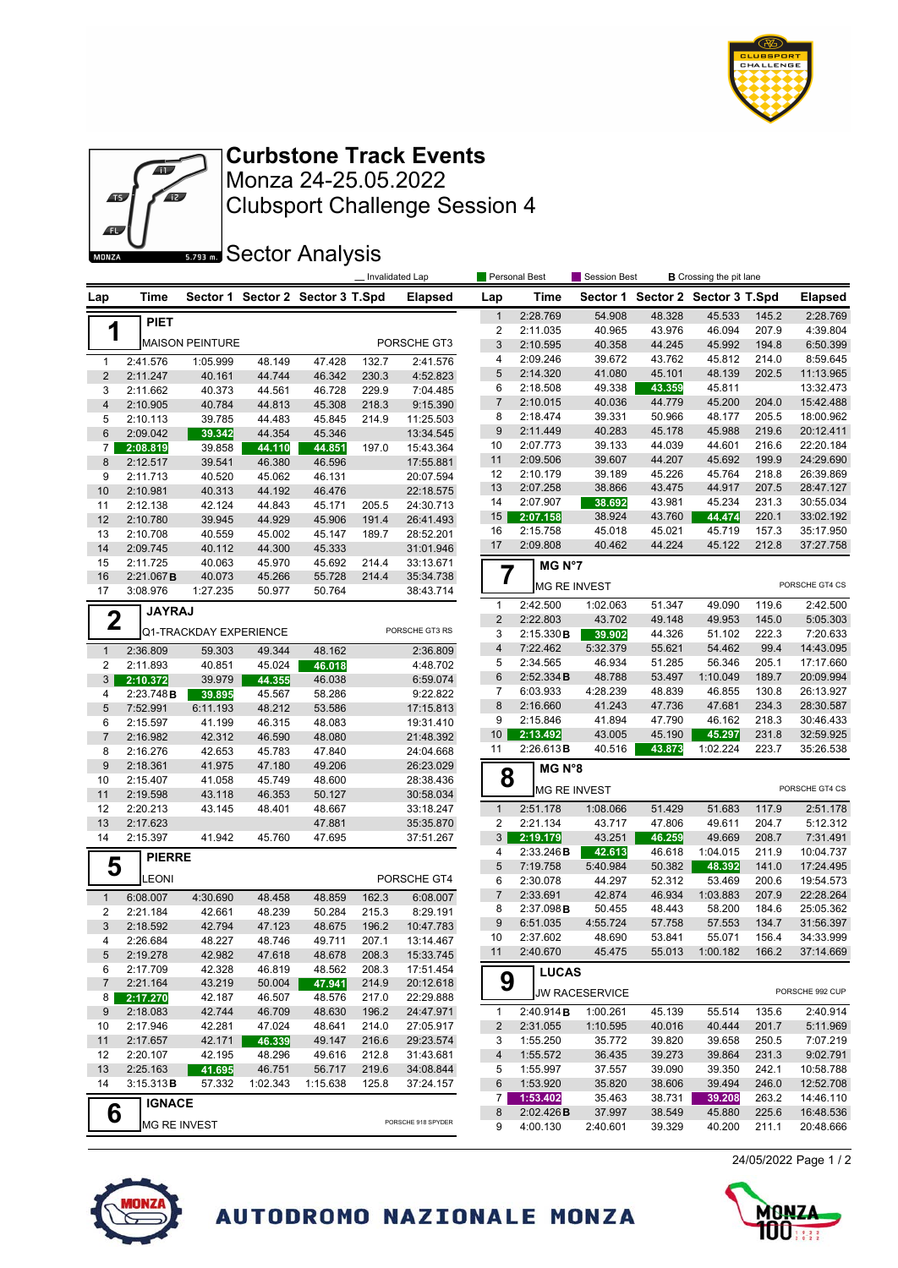



Clubsport Challenge Session 4 Monza 24-25.05.2022 **Curbstone Track Events**

**Sector Analysis** 

|                     |                      |                               |                  |                                  |                | Invalidated Lap        |                     | Personal Best        | <b>Session Best</b>   |                                  | <b>B</b> Crossing the pit lane |       |                        |
|---------------------|----------------------|-------------------------------|------------------|----------------------------------|----------------|------------------------|---------------------|----------------------|-----------------------|----------------------------------|--------------------------------|-------|------------------------|
| Lap                 | Time                 |                               |                  | Sector 1 Sector 2 Sector 3 T.Spd |                | <b>Elapsed</b>         | Lap                 | Time                 |                       | Sector 1 Sector 2 Sector 3 T.Spd |                                |       | <b>Elapsed</b>         |
|                     | <b>PIET</b>          |                               |                  |                                  |                |                        | $\mathbf{1}$        | 2:28.769             | 54.908                | 48.328                           | 45.533                         | 145.2 | 2:28.769               |
| 1                   |                      |                               |                  |                                  |                |                        | $\overline{c}$      | 2:11.035             | 40.965                | 43.976                           | 46.094                         | 207.9 | 4:39.804               |
|                     |                      | <b>MAISON PEINTURE</b>        |                  |                                  |                | PORSCHE GT3            | $\mathfrak{S}$      | 2:10.595             | 40.358                | 44.245                           | 45.992                         | 194.8 | 6:50.399               |
| $\mathbf{1}$        | 2:41.576             | 1:05.999                      | 48.149           | 47.428                           | 132.7          | 2:41.576               | 4                   | 2:09.246             | 39.672                | 43.762                           | 45.812                         | 214.0 | 8:59.645               |
| $\overline{c}$      | 2:11.247             | 40.161                        | 44.744           | 46.342                           | 230.3          | 4:52.823               | 5                   | 2:14.320             | 41.080                | 45.101                           | 48.139                         | 202.5 | 11:13.965              |
| 3                   | 2:11.662             | 40.373                        | 44.561           | 46.728                           | 229.9          | 7:04.485               | 6<br>$\overline{7}$ | 2:18.508             | 49.338                | 43.359<br>44.779                 | 45.811<br>45.200               | 204.0 | 13:32.473<br>15:42.488 |
| $\overline{4}$      | 2:10.905             | 40.784                        | 44.813           | 45.308                           | 218.3          | 9:15.390               | 8                   | 2:10.015<br>2:18.474 | 40.036<br>39.331      | 50.966                           | 48.177                         | 205.5 | 18:00.962              |
| 5<br>$6\,$          | 2:10.113<br>2:09.042 | 39.785                        | 44.483           | 45.845                           | 214.9          | 11:25.503              | 9                   | 2:11.449             | 40.283                | 45.178                           | 45.988                         | 219.6 | 20:12.411              |
| $\overline{7}$      | 2:08.819             | 39.342<br>39.858              | 44.354<br>44.110 | 45.346<br>44.851                 | 197.0          | 13:34.545<br>15:43.364 | 10                  | 2:07.773             | 39.133                | 44.039                           | 44.601                         | 216.6 | 22:20.184              |
| 8                   | 2:12.517             | 39.541                        | 46.380           | 46.596                           |                | 17:55.881              | 11                  | 2:09.506             | 39.607                | 44.207                           | 45.692                         | 199.9 | 24:29.690              |
| 9                   | 2:11.713             | 40.520                        | 45.062           | 46.131                           |                | 20:07.594              | 12                  | 2:10.179             | 39.189                | 45.226                           | 45.764                         | 218.8 | 26:39.869              |
| 10                  | 2:10.981             | 40.313                        | 44.192           | 46.476                           |                | 22:18.575              | 13                  | 2:07.258             | 38.866                | 43.475                           | 44.917                         | 207.5 | 28:47.127              |
| 11                  | 2:12.138             | 42.124                        | 44.843           | 45.171                           | 205.5          | 24:30.713              | 14                  | 2:07.907             | 38.692                | 43.981                           | 45.234                         | 231.3 | 30:55.034              |
| 12                  | 2:10.780             | 39.945                        | 44.929           | 45.906                           | 191.4          | 26:41.493              | 15                  | 2:07.158             | 38.924                | 43.760                           | 44.474                         | 220.1 | 33:02.192              |
| 13                  | 2:10.708             | 40.559                        | 45.002           | 45.147                           | 189.7          | 28:52.201              | 16                  | 2:15.758             | 45.018                | 45.021                           | 45.719                         | 157.3 | 35:17.950              |
| 14                  | 2:09.745             | 40.112                        | 44.300           | 45.333                           |                | 31:01.946              | 17                  | 2:09.808             | 40.462                | 44.224                           | 45.122                         | 212.8 | 37:27.758              |
| 15                  | 2:11.725             | 40.063                        | 45.970           | 45.692                           | 214.4          | 33:13.671              |                     | MG N°7               |                       |                                  |                                |       |                        |
| 16                  | 2:21.067B            | 40.073                        | 45.266           | 55.728                           | 214.4          | 35:34.738              | 7                   |                      | MG RE INVEST          |                                  |                                |       | PORSCHE GT4 CS         |
| 17                  | 3:08.976             | 1:27.235                      | 50.977           | 50.764                           |                | 38:43.714              | $\mathbf{1}$        | 2:42.500             |                       | 51.347                           |                                | 119.6 | 2:42.500               |
| $\mathbf 2$         | <b>JAYRAJ</b>        |                               |                  |                                  |                |                        | $\overline{2}$      | 2:22.803             | 1:02.063<br>43.702    | 49.148                           | 49.090<br>49.953               | 145.0 | 5:05.303               |
|                     |                      | <b>Q1-TRACKDAY EXPERIENCE</b> |                  |                                  |                | PORSCHE GT3 RS         | 3                   | 2:15.330B            | 39.902                | 44.326                           | 51.102                         | 222.3 | 7:20.633               |
| $\mathbf{1}$        | 2:36.809             | 59.303                        | 49.344           | 48.162                           |                | 2:36.809               | $\overline{4}$      | 7:22.462             | 5:32.379              | 55.621                           | 54.462                         | 99.4  | 14:43.095              |
| $\overline{2}$      | 2:11.893             | 40.851                        | 45.024           | 46.018                           |                | 4:48.702               | 5                   | 2:34.565             | 46.934                | 51.285                           | 56.346                         | 205.1 | 17:17.660              |
| $\mathbf{3}$        | 2:10.372             | 39.979                        | 44.355           | 46.038                           |                | 6:59.074               | $\,6$               | 2:52.334B            | 48.788                | 53.497                           | 1:10.049                       | 189.7 | 20:09.994              |
| 4                   | 2:23.748B            | 39.895                        | 45.567           | 58.286                           |                | 9:22.822               | $\overline{7}$      | 6:03.933             | 4:28.239              | 48.839                           | 46.855                         | 130.8 | 26:13.927              |
| $\sqrt{5}$          | 7:52.991             | 6:11.193                      | 48.212           | 53.586                           |                | 17:15.813              | $\bf 8$             | 2:16.660             | 41.243                | 47.736                           | 47.681                         | 234.3 | 28:30.587              |
| 6                   | 2:15.597             | 41.199                        | 46.315           | 48.083                           |                | 19:31.410              | 9                   | 2:15.846             | 41.894                | 47.790                           | 46.162                         | 218.3 | 30:46.433              |
| $\overline{7}$      | 2:16.982             | 42.312                        | 46.590           | 48.080                           |                | 21:48.392              | 10 <sup>°</sup>     | 2:13.492             | 43.005                | 45.190                           | 45.297                         | 231.8 | 32:59.925              |
| 8                   | 2:16.276             | 42.653                        | 45.783           | 47.840                           |                | 24:04.668              | 11                  | 2:26.613B            | 40.516                | 43.873                           | 1:02.224                       | 223.7 | 35:26.538              |
| 9                   | 2:18.361             | 41.975                        | 47.180           | 49.206                           |                | 26:23.029              | 8                   | MG N°8               |                       |                                  |                                |       |                        |
| 10                  | 2:15.407             | 41.058                        | 45.749           | 48.600                           |                | 28:38.436              |                     |                      | <b>MG RE INVEST</b>   |                                  |                                |       | PORSCHE GT4 CS         |
| 11<br>12            | 2:19.598<br>2:20.213 | 43.118<br>43.145              | 46.353<br>48.401 | 50.127<br>48.667                 |                | 30:58.034<br>33:18.247 | $\mathbf{1}$        | 2:51.178             | 1:08.066              | 51.429                           | 51.683                         | 117.9 | 2:51.178               |
| 13                  | 2:17.623             |                               |                  | 47.881                           |                | 35:35.870              | $\overline{c}$      | 2:21.134             | 43.717                | 47.806                           | 49.611                         | 204.7 | 5:12.312               |
| 14                  | 2:15.397             | 41.942                        | 45.760           | 47.695                           |                | 37:51.267              | 3                   | 2:19.179             | 43.251                | 46.259                           | 49.669                         | 208.7 | 7:31.491               |
|                     | <b>PIERRE</b>        |                               |                  |                                  |                |                        | 4                   | 2:33.246B            | 42.613                | 46.618                           | 1:04.015                       | 211.9 | 10:04.737              |
| 5                   |                      |                               |                  |                                  |                |                        | 5                   | 7:19.758             | 5:40.984              | 50.382                           | 48.392                         | 141.0 | 17:24.495              |
|                     | <b>LEONI</b>         |                               |                  |                                  |                | PORSCHE GT4            | 6                   | 2:30.078             | 44.297                | 52.312                           | 53.469                         | 200.6 | 19:54.573              |
| $\mathbf{1}$        | 6:08.007             | 4:30.690                      | 48.458           | 48.859                           | 162.3          | 6:08.007               | $\overline{7}$      | 2:33.691             | 42.874                | 46.934                           | 1:03.883                       | 207.9 | 22:28.264              |
| $\overline{2}$      | 2:21.184             | 42.661                        | 48.239           | 50.284                           | 215.3          | 8:29.191               | 8                   | 2:37.098B            | 50.455                | 48.443                           | 58.200                         | 184.6 | 25:05.362              |
| 3                   | 2:18.592             | 42.794                        | 47.123           | 48.675                           | 196.2          | 10:47.783              | 9                   | 6:51.035             | 4:55.724              | 57.758                           | 57.553                         | 134.7 | 31:56.397              |
| 4                   | 2:26.684             | 48.227                        | 48.746           | 49.711                           | 207.1          | 13:14.467              | 10                  | 2:37.602             | 48.690                | 53.841                           | 55.071                         | 156.4 | 34:33.999              |
| 5                   | 2:19.278             | 42.982                        | 47.618           | 48.678                           | 208.3          | 15:33.745              | 11                  | 2:40.670             | 45.4/5                | 55.013                           | 1:00.182                       | 166.2 | 37:14.669              |
| 6                   | 2:17.709             | 42.328                        | 46.819           | 48.562                           | 208.3          | 17:51.454              | 9                   | <b>LUCAS</b>         |                       |                                  |                                |       |                        |
| $\overline{7}$<br>8 | 2:21.164<br>2:17.270 | 43.219<br>42.187              | 50.004<br>46.507 | 47.941<br>48.576                 | 214.9<br>217.0 | 20:12.618<br>22:29.888 |                     |                      | <b>JW RACESERVICE</b> |                                  |                                |       | PORSCHE 992 CUP        |
| 9                   | 2:18.083             | 42.744                        | 46.709           | 48.630                           | 196.2          | 24:47.971              | $\mathbf{1}$        | 2:40.914B            | 1:00.261              | 45.139                           | 55.514                         | 135.6 | 2:40.914               |
| 10                  | 2:17.946             | 42.281                        | 47.024           | 48.641                           | 214.0          | 27:05.917              | $\overline{2}$      | 2:31.055             | 1:10.595              | 40.016                           | 40.444                         | 201.7 | 5:11.969               |
| 11                  | 2:17.657             | 42.171                        | 46.339           | 49.147                           | 216.6          | 29:23.574              | 3                   | 1:55.250             | 35.772                | 39.820                           | 39.658                         | 250.5 | 7:07.219               |
| 12                  | 2:20.107             | 42.195                        | 48.296           | 49.616                           | 212.8          | 31:43.681              | 4                   | 1:55.572             | 36.435                | 39.273                           | 39.864                         | 231.3 | 9:02.791               |
| 13                  | 2:25.163             | 41.695                        | 46.751           | 56.717                           | 219.6          | 34:08.844              | 5                   | 1:55.997             | 37.557                | 39.090                           | 39.350                         | 242.1 | 10:58.788              |
| 14                  | 3:15.313B            | 57.332                        | 1:02.343         | 1:15.638                         | 125.8          | 37:24.157              | 6                   | 1:53.920             | 35.820                | 38.606                           | 39.494                         | 246.0 | 12:52.708              |
|                     | <b>IGNACE</b>        |                               |                  |                                  |                |                        | 7                   | 1:53.402             | 35.463                | 38.731                           | 39.208                         | 263.2 | 14:46.110              |
| 6                   |                      |                               |                  |                                  |                | PORSCHE 918 SPYDER     | 8                   | 2:02.426B            | 37.997                | 38.549                           | 45.880                         | 225.6 | 16:48.536              |
|                     |                      | <b>MG RE INVEST</b>           |                  |                                  |                |                        | 9                   | 4:00.130             | 2:40.601              | 39.329                           | 40.200                         | 211.1 | 20:48.666              |



AUTODROMO NAZIONALE MONZA